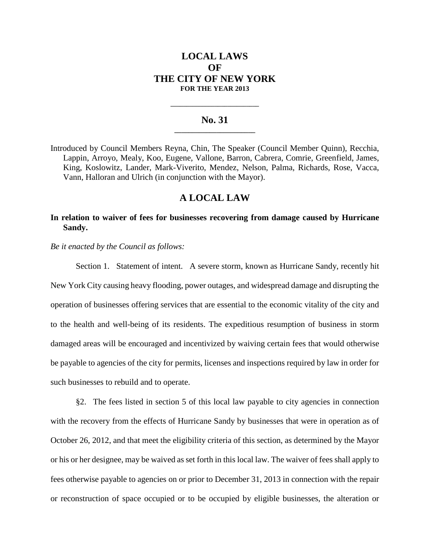# **LOCAL LAWS OF THE CITY OF NEW YORK FOR THE YEAR 2013**

#### **No. 31 \_\_\_\_\_\_\_\_\_\_\_\_\_\_\_\_\_\_\_\_\_\_\_**

**\_\_\_\_\_\_\_\_\_\_\_\_\_\_\_\_\_\_\_\_\_\_\_\_\_\_\_\_**

Introduced by Council Members Reyna, Chin, The Speaker (Council Member Quinn), Recchia, Lappin, Arroyo, Mealy, Koo, Eugene, Vallone, Barron, Cabrera, Comrie, Greenfield, James, King, Koslowitz, Lander, Mark-Viverito, Mendez, Nelson, Palma, Richards, Rose, Vacca, Vann, Halloran and Ulrich (in conjunction with the Mayor).

## **A LOCAL LAW**

### **In relation to waiver of fees for businesses recovering from damage caused by Hurricane Sandy.**

*Be it enacted by the Council as follows:*

Section 1. Statement of intent. A severe storm, known as Hurricane Sandy, recently hit New York City causing heavy flooding, power outages, and widespread damage and disrupting the operation of businesses offering services that are essential to the economic vitality of the city and to the health and well-being of its residents. The expeditious resumption of business in storm damaged areas will be encouraged and incentivized by waiving certain fees that would otherwise be payable to agencies of the city for permits, licenses and inspections required by law in order for such businesses to rebuild and to operate.

§2. The fees listed in section 5 of this local law payable to city agencies in connection with the recovery from the effects of Hurricane Sandy by businesses that were in operation as of October 26, 2012, and that meet the eligibility criteria of this section, as determined by the Mayor or his or her designee, may be waived as set forth in this local law. The waiver of fees shall apply to fees otherwise payable to agencies on or prior to December 31, 2013 in connection with the repair or reconstruction of space occupied or to be occupied by eligible businesses, the alteration or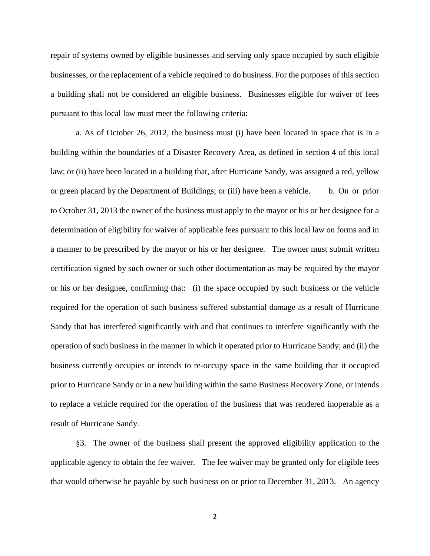repair of systems owned by eligible businesses and serving only space occupied by such eligible businesses, or the replacement of a vehicle required to do business. For the purposes of this section a building shall not be considered an eligible business. Businesses eligible for waiver of fees pursuant to this local law must meet the following criteria:

a. As of October 26, 2012, the business must (i) have been located in space that is in a building within the boundaries of a Disaster Recovery Area, as defined in section 4 of this local law; or (ii) have been located in a building that, after Hurricane Sandy, was assigned a red, yellow or green placard by the Department of Buildings; or (iii) have been a vehicle. b. On or prior to October 31, 2013 the owner of the business must apply to the mayor or his or her designee for a determination of eligibility for waiver of applicable fees pursuant to this local law on forms and in a manner to be prescribed by the mayor or his or her designee. The owner must submit written certification signed by such owner or such other documentation as may be required by the mayor or his or her designee, confirming that: (i) the space occupied by such business or the vehicle required for the operation of such business suffered substantial damage as a result of Hurricane Sandy that has interfered significantly with and that continues to interfere significantly with the operation of such business in the manner in which it operated prior to Hurricane Sandy; and (ii) the business currently occupies or intends to re-occupy space in the same building that it occupied prior to Hurricane Sandy or in a new building within the same Business Recovery Zone, or intends to replace a vehicle required for the operation of the business that was rendered inoperable as a result of Hurricane Sandy.

§3. The owner of the business shall present the approved eligibility application to the applicable agency to obtain the fee waiver. The fee waiver may be granted only for eligible fees that would otherwise be payable by such business on or prior to December 31, 2013. An agency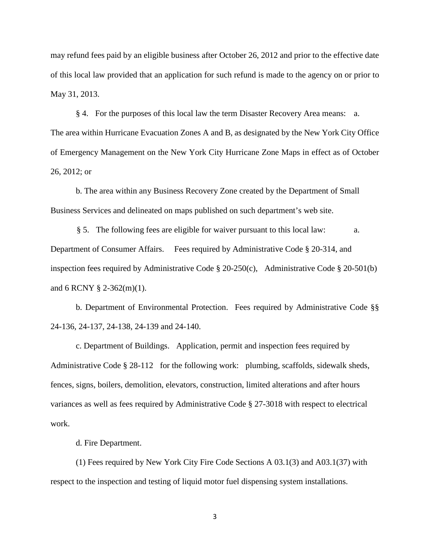may refund fees paid by an eligible business after October 26, 2012 and prior to the effective date of this local law provided that an application for such refund is made to the agency on or prior to May 31, 2013.

§ 4. For the purposes of this local law the term Disaster Recovery Area means: a. The area within Hurricane Evacuation Zones A and B, as designated by the New York City Office of Emergency Management on the New York City Hurricane Zone Maps in effect as of October 26, 2012; or

b. The area within any Business Recovery Zone created by the Department of Small Business Services and delineated on maps published on such department's web site.

§ 5. The following fees are eligible for waiver pursuant to this local law: a. Department of Consumer Affairs. Fees required by Administrative Code § 20-314, and inspection fees required by Administrative Code § 20-250(c), Administrative Code § 20-501(b) and 6 RCNY § 2-362(m)(1).

b. Department of Environmental Protection. Fees required by Administrative Code §§ 24-136, 24-137, 24-138, 24-139 and 24-140.

c. Department of Buildings. Application, permit and inspection fees required by Administrative Code § 28-112 for the following work: plumbing, scaffolds, sidewalk sheds, fences, signs, boilers, demolition, elevators, construction, limited alterations and after hours variances as well as fees required by Administrative Code § 27-3018 with respect to electrical work.

d. Fire Department.

(1) Fees required by New York City Fire Code Sections A 03.1(3) and A03.1(37) with respect to the inspection and testing of liquid motor fuel dispensing system installations.

3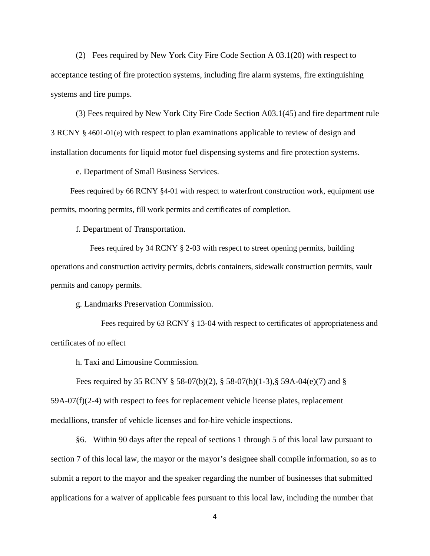(2) Fees required by New York City Fire Code Section A 03.1(20) with respect to acceptance testing of fire protection systems, including fire alarm systems, fire extinguishing systems and fire pumps.

(3) Fees required by New York City Fire Code Section A03.1(45) and fire department rule 3 RCNY § 4601-01(e) with respect to plan examinations applicable to review of design and installation documents for liquid motor fuel dispensing systems and fire protection systems.

e. Department of Small Business Services.

Fees required by 66 RCNY §4-01 with respect to waterfront construction work, equipment use permits, mooring permits, fill work permits and certificates of completion.

f. Department of Transportation.

Fees required by 34 RCNY § 2-03 with respect to street opening permits, building operations and construction activity permits, debris containers, sidewalk construction permits, vault permits and canopy permits.

g. Landmarks Preservation Commission.

Fees required by 63 RCNY § 13-04 with respect to certificates of appropriateness and certificates of no effect

h. Taxi and Limousine Commission.

Fees required by 35 RCNY § 58-07(b)(2), § 58-07(h)(1-3),§ 59A-04(e)(7) and § 59A-07(f)(2-4) with respect to fees for replacement vehicle license plates, replacement medallions, transfer of vehicle licenses and for-hire vehicle inspections.

§6. Within 90 days after the repeal of sections 1 through 5 of this local law pursuant to section 7 of this local law, the mayor or the mayor's designee shall compile information, so as to submit a report to the mayor and the speaker regarding the number of businesses that submitted applications for a waiver of applicable fees pursuant to this local law, including the number that